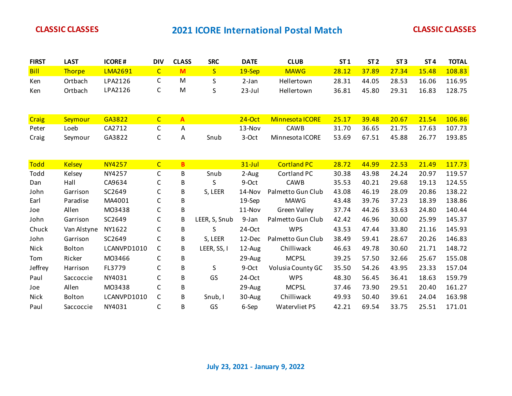| <b>FIRST</b> | <b>LAST</b>    | <b>ICORE#</b>  | <b>DIV</b>     | <b>CLASS</b>   | <b>SRC</b>              | <b>DATE</b> | <b>CLUB</b>          | ST <sub>1</sub> | ST <sub>2</sub> | ST <sub>3</sub> | ST <sub>4</sub> | <b>TOTAL</b> |
|--------------|----------------|----------------|----------------|----------------|-------------------------|-------------|----------------------|-----------------|-----------------|-----------------|-----------------|--------------|
| <b>Bill</b>  | Thorpe         | <b>LMA2691</b> | $\overline{C}$ | M              | $\overline{\mathsf{S}}$ | 19-Sep      | <b>MAWG</b>          | 28.12           | 37.89           | 27.34           | 15.48           | 108.83       |
| Ken          | Ortbach        | LPA2126        | C              | M              | S                       | $2-Jan$     | Hellertown           | 28.31           | 44.05           | 28.53           | 16.06           | 116.95       |
| Ken          | Ortbach        | LPA2126        | $\mathsf C$    | M              | S                       | $23$ -Jul   | Hellertown           | 36.81           | 45.80           | 29.31           | 16.83           | 128.75       |
|              |                |                |                |                |                         |             |                      |                 |                 |                 |                 |              |
|              |                |                |                |                |                         |             |                      |                 |                 |                 |                 |              |
| <b>Craig</b> | <b>Seymour</b> | GA3822         | $\overline{C}$ | $\overline{A}$ |                         | $24-Oct$    | Minnesota ICORE      | 25.17           | 39.48           | 20.67           | 21.54           | 106.86       |
| Peter        | Loeb           | CA2712         | C              | A              |                         | 13-Nov      | CAWB                 | 31.70           | 36.65           | 21.75           | 17.63           | 107.73       |
| Craig        | Seymour        | GA3822         | C              | Α              | Snub                    | 3-Oct       | Minnesota ICORE      | 53.69           | 67.51           | 45.88           | 26.77           | 193.85       |
|              |                |                |                |                |                         |             |                      |                 |                 |                 |                 |              |
|              |                |                |                |                |                         |             |                      |                 |                 |                 |                 |              |
| <b>Todd</b>  | <b>Kelsey</b>  | <b>NY4257</b>  | $\overline{C}$ | B              |                         | $31$ -Jul   | <b>Cortland PC</b>   | 28.72           | 44.99           | 22.53           | 21.49           | 117.73       |
| Todd         | Kelsey         | NY4257         | C              | В              | Snub                    | 2-Aug       | Cortland PC          | 30.38           | 43.98           | 24.24           | 20.97           | 119.57       |
| Dan          | Hall           | CA9634         | C              | B              | S                       | 9-Oct       | <b>CAWB</b>          | 35.53           | 40.21           | 29.68           | 19.13           | 124.55       |
| John         | Garrison       | SC2649         | $\mathsf C$    | B              | S, LEER                 | 14-Nov      | Palmetto Gun Club    | 43.08           | 46.19           | 28.09           | 20.86           | 138.22       |
| Earl         | Paradise       | MA4001         | $\mathsf C$    | B              |                         | 19-Sep      | <b>MAWG</b>          | 43.48           | 39.76           | 37.23           | 18.39           | 138.86       |
| Joe          | Allen          | M03438         | $\mathsf C$    | B              |                         | 11-Nov      | <b>Green Valley</b>  | 37.74           | 44.26           | 33.63           | 24.80           | 140.44       |
| John         | Garrison       | SC2649         | $\mathsf C$    | B              | LEER, S, Snub           | 9-Jan       | Palmetto Gun Club    | 42.42           | 46.96           | 30.00           | 25.99           | 145.37       |
| Chuck        | Van Alstyne    | NY1622         | $\mathsf C$    | B              | S                       | 24-Oct      | <b>WPS</b>           | 43.53           | 47.44           | 33.80           | 21.16           | 145.93       |
| John         | Garrison       | SC2649         | $\mathsf C$    | В              | S, LEER                 | 12-Dec      | Palmetto Gun Club    | 38.49           | 59.41           | 28.67           | 20.26           | 146.83       |
| Nick         | Bolton         | LCANVPD1010    | $\mathsf C$    | В              | LEER, SS, I             | 12-Aug      | Chilliwack           | 46.63           | 49.78           | 30.60           | 21.71           | 148.72       |
| Tom          | Ricker         | M03466         | C              | B              |                         | 29-Aug      | <b>MCPSL</b>         | 39.25           | 57.50           | 32.66           | 25.67           | 155.08       |
| Jeffrey      | Harrison       | FL3779         | C              | B              | S                       | 9-Oct       | Volusia County GC    | 35.50           | 54.26           | 43.95           | 23.33           | 157.04       |
| Paul         | Saccoccie      | NY4031         | C              | В              | GS                      | 24-Oct      | <b>WPS</b>           | 48.30           | 56.45           | 36.41           | 18.63           | 159.79       |
| Joe          | Allen          | M03438         | $\mathsf C$    | B              |                         | 29-Aug      | <b>MCPSL</b>         | 37.46           | 73.90           | 29.51           | 20.40           | 161.27       |
| Nick         | Bolton         | LCANVPD1010    | $\mathsf{C}$   | B              | Snub, I                 | 30-Aug      | Chilliwack           | 49.93           | 50.40           | 39.61           | 24.04           | 163.98       |
| Paul         | Saccoccie      | NY4031         | C              | B              | GS                      | 6-Sep       | <b>Watervliet PS</b> | 42.21           | 69.54           | 33.75           | 25.51           | 171.01       |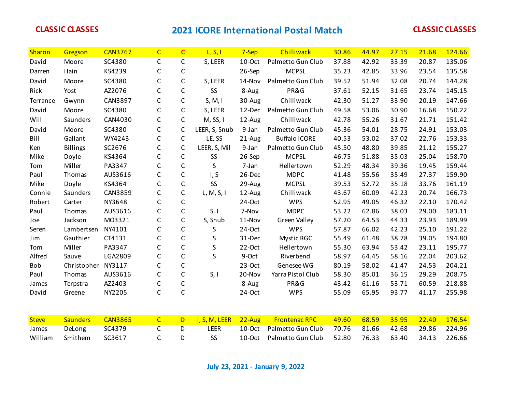| Sharon       | Gregson         | <b>CAN3767</b> | $\overline{C}$ | $\mathbf{C}$ | L, S, I       | 7-Sep     | Chilliwack           | 30.86 | 44.97 | 27.15 | 21.68 | 124.66 |
|--------------|-----------------|----------------|----------------|--------------|---------------|-----------|----------------------|-------|-------|-------|-------|--------|
| David        | Moore           | SC4380         | $\mathsf C$    | $\mathsf C$  | S, LEER       | 10-Oct    | Palmetto Gun Club    | 37.88 | 42.92 | 33.39 | 20.87 | 135.06 |
| Darren       | Hain            | KS4239         | $\mathsf C$    | $\mathsf C$  |               | 26-Sep    | <b>MCPSL</b>         | 35.23 | 42.85 | 33.96 | 23.54 | 135.58 |
| David        | Moore           | SC4380         | $\mathsf C$    | $\mathsf C$  | S, LEER       | 14-Nov    | Palmetto Gun Club    | 39.52 | 51.94 | 32.08 | 20.74 | 144.28 |
| Rick         | Yost            | AZ2076         | $\mathsf C$    | $\mathsf C$  | SS            | 8-Aug     | PR&G                 | 37.61 | 52.15 | 31.65 | 23.74 | 145.15 |
| Terrance     | Gwynn           | CAN3897        | $\mathsf C$    | $\mathsf C$  | S, M, I       | 30-Aug    | Chilliwack           | 42.30 | 51.27 | 33.90 | 20.19 | 147.66 |
| David        | Moore           | SC4380         | $\mathsf C$    | $\mathsf C$  | S, LEER       | 12-Dec    | Palmetto Gun Club    | 49.58 | 53.06 | 30.90 | 16.68 | 150.22 |
| Will         | Saunders        | CAN4030        | $\mathsf C$    | $\mathsf{C}$ | M, SS, I      | 12-Aug    | Chilliwack           | 42.78 | 55.26 | 31.67 | 21.71 | 151.42 |
| David        | Moore           | SC4380         | $\mathsf C$    | $\mathsf C$  | LEER, S, Snub | 9-Jan     | Palmetto Gun Club    | 45.36 | 54.01 | 28.75 | 24.91 | 153.03 |
| Bill         | Gallant         | WY4243         | $\mathsf{C}$   | $\mathsf{C}$ | LE, SS        | 21-Aug    | <b>Buffalo ICORE</b> | 40.53 | 53.02 | 37.02 | 22.76 | 153.33 |
| Ken          | <b>Billings</b> | SC2676         | $\mathsf C$    | $\mathsf C$  | LEER, S, Mil  | 9-Jan     | Palmetto Gun Club    | 45.50 | 48.80 | 39.85 | 21.12 | 155.27 |
| Mike         | Doyle           | KS4364         | $\mathsf C$    | $\mathsf C$  | SS            | 26-Sep    | <b>MCPSL</b>         | 46.75 | 51.88 | 35.03 | 25.04 | 158.70 |
| Tom          | Miller          | PA3347         | $\mathsf C$    | $\mathsf C$  | S             | 7-Jan     | Hellertown           | 52.29 | 48.34 | 39.36 | 19.45 | 159.44 |
| Paul         | Thomas          | AUS3616        | $\mathsf C$    | $\mathsf C$  | I, S          | 26-Dec    | <b>MDPC</b>          | 41.48 | 55.56 | 35.49 | 27.37 | 159.90 |
| Mike         | Doyle           | KS4364         | $\mathsf C$    | $\mathsf C$  | SS            | 29-Aug    | <b>MCPSL</b>         | 39.53 | 52.72 | 35.18 | 33.76 | 161.19 |
| Connie       | Saunders        | CAN3859        | $\mathsf C$    | $\mathsf C$  | L, M, S, I    | 12-Aug    | Chilliwack           | 43.67 | 60.09 | 42.23 | 20.74 | 166.73 |
| Robert       | Carter          | NY3648         | $\mathsf{C}$   | $\mathsf C$  |               | 24-Oct    | <b>WPS</b>           | 52.95 | 49.05 | 46.32 | 22.10 | 170.42 |
| Paul         | Thomas          | AUS3616        | C              | $\mathsf C$  | S, I          | 7-Nov     | <b>MDPC</b>          | 53.22 | 62.86 | 38.03 | 29.00 | 183.11 |
| Joe          | Jackson         | M03321         | $\mathsf C$    | $\mathsf C$  | S, Snub       | 11-Nov    | <b>Green Valley</b>  | 57.20 | 64.53 | 44.33 | 23.93 | 189.99 |
| Seren        | Lambertsen      | NY4101         | $\mathsf C$    | $\mathsf C$  | S             | 24-Oct    | <b>WPS</b>           | 57.87 | 66.02 | 42.23 | 25.10 | 191.22 |
| Jim          | Gauthier        | CT4131         | C              | $\mathsf C$  | S             | 31-Dec    | Mystic RGC           | 55.49 | 61.48 | 38.78 | 39.05 | 194.80 |
| Tom          | Miller          | PA3347         | $\mathsf C$    | $\mathsf C$  | S             | 22-Oct    | Hellertown           | 55.30 | 63.94 | 53.42 | 23.11 | 195.77 |
| Alfred       | Sauve           | LGA2809        | $\mathsf C$    | $\mathsf C$  | S             | 9-Oct     | Riverbend            | 58.97 | 64.45 | 58.16 | 22.04 | 203.62 |
| Bob          | Christopher     | NY3117         | $\mathsf C$    | C            |               | 23-Oct    | Genesee WG           | 80.19 | 58.02 | 41.47 | 24.53 | 204.21 |
| Paul         | Thomas          | AUS3616        | $\mathsf C$    | $\mathsf C$  | S, I          | 20-Nov    | Yarra Pistol Club    | 58.30 | 85.01 | 36.15 | 29.29 | 208.75 |
| James        | Terpstra        | AZ2403         | $\mathsf C$    | $\mathsf C$  |               | 8-Aug     | PR&G                 | 43.42 | 61.16 | 53.71 | 60.59 | 218.88 |
| David        | Greene          | NY2205         | $\mathsf C$    | $\mathsf{C}$ |               | 24-Oct    | <b>WPS</b>           | 55.09 | 65.95 | 93.77 | 41.17 | 255.98 |
|              |                 |                |                |              |               |           |                      |       |       |       |       |        |
| <b>Steve</b> | <b>Saunders</b> | <b>CAN3865</b> | $\overline{C}$ | D            | I, S, M, LEER | $22$ -Aug | <b>Frontenac RPC</b> | 49.60 | 68.59 | 35.95 | 22.40 | 176.54 |
| James        | DeLong          | SC4379         | $\mathsf C$    | D            | <b>LEER</b>   | 10-Oct    | Palmetto Gun Club    | 70.76 | 81.66 | 42.68 | 29.86 | 224.96 |
| William      | Smithem         | SC3617         | C              | D            | SS            | 10-Oct    | Palmetto Gun Club    | 52.80 | 76.33 | 63.40 | 34.13 | 226.66 |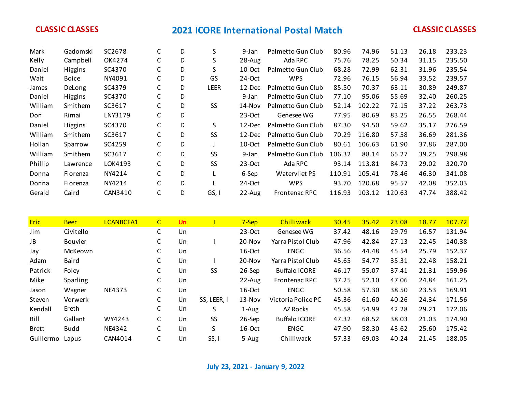| Mark    | Gadomski     | SC2678  | С | D | S           | 9-Jan     | Palmetto Gun Club    | 80.96  | 74.96  | 51.13  | 26.18 | 233.23 |
|---------|--------------|---------|---|---|-------------|-----------|----------------------|--------|--------|--------|-------|--------|
| Kelly   | Campbell     | OK4274  | С | D | S           | 28-Aug    | Ada RPC              | 75.76  | 78.25  | 50.34  | 31.15 | 235.50 |
| Daniel  | Higgins      | SC4370  | С | D | S           | $10$ -Oct | Palmetto Gun Club    | 68.28  | 72.99  | 62.31  | 31.96 | 235.54 |
| Walt    | <b>Boice</b> | NY4091  | С | D | GS          | $24-Oct$  | <b>WPS</b>           | 72.96  | 76.15  | 56.94  | 33.52 | 239.57 |
| James   | DeLong       | SC4379  | С | D | <b>LEER</b> | 12-Dec    | Palmetto Gun Club    | 85.50  | 70.37  | 63.11  | 30.89 | 249.87 |
| Daniel  | Higgins      | SC4370  | С | D |             | 9-Jan     | Palmetto Gun Club    | 77.10  | 95.06  | 55.69  | 32.40 | 260.25 |
| William | Smithem      | SC3617  | С | D | <b>SS</b>   | 14-Nov    | Palmetto Gun Club    | 52.14  | 102.22 | 72.15  | 37.22 | 263.73 |
| Don     | Rimai        | LNY3179 | С | D |             | $23-Oct$  | Genesee WG           | 77.95  | 80.69  | 83.25  | 26.55 | 268.44 |
| Daniel  | Higgins      | SC4370  | С | D | S           | 12-Dec    | Palmetto Gun Club    | 87.30  | 94.50  | 59.62  | 35.17 | 276.59 |
| William | Smithem      | SC3617  | С | D | SS          | 12-Dec    | Palmetto Gun Club    | 70.29  | 116.80 | 57.58  | 36.69 | 281.36 |
| Hollan  | Sparrow      | SC4259  | C | D |             | $10$ -Oct | Palmetto Gun Club    | 80.61  | 106.63 | 61.90  | 37.86 | 287.00 |
| William | Smithem      | SC3617  | С | D | SS          | 9-Jan     | Palmetto Gun Club    | 106.32 | 88.14  | 65.27  | 39.25 | 298.98 |
| Phillip | Lawrence     | LOK4193 | С | D | <b>SS</b>   | $23-Oct$  | Ada RPC              | 93.14  | 113.81 | 84.73  | 29.02 | 320.70 |
| Donna   | Fiorenza     | NY4214  | С | D |             | 6-Sep     | Watervliet PS        | 110.91 | 105.41 | 78.46  | 46.30 | 341.08 |
| Donna   | Fiorenza     | NY4214  | С | D |             | $24-Oct$  | <b>WPS</b>           | 93.70  | 120.68 | 95.57  | 42.08 | 352.03 |
| Gerald  | Caird        | CAN3410 | С | D | GS, I       | 22-Aug    | <b>Frontenac RPC</b> | 116.93 | 103.12 | 120.63 | 47.74 | 388.42 |

| <b>Eric</b>  | <b>Beer</b>     | <b>LCANBCFA1</b> | $\mathsf{C}$ | Un |             | 7-Sep     | Chilliwack           | 30.45 | 35.42 | 23.08 | 18.77 | 107.72 |
|--------------|-----------------|------------------|--------------|----|-------------|-----------|----------------------|-------|-------|-------|-------|--------|
| Jim          | Civitello       |                  | С            | Un |             | $23-Oct$  | Genesee WG           | 37.42 | 48.16 | 29.79 | 16.57 | 131.94 |
| JB           | <b>Bouvier</b>  |                  | C            | Un |             | $20-Nov$  | Yarra Pistol Club    | 47.96 | 42.84 | 27.13 | 22.45 | 140.38 |
| Jay          | McKeown         |                  | C            | Un |             | $16-Oct$  | <b>ENGC</b>          | 36.56 | 44.48 | 45.54 | 25.79 | 152.37 |
| Adam         | Baird           |                  | C            | Un |             | $20-Nov$  | Yarra Pistol Club    | 45.65 | 54.77 | 35.31 | 22.48 | 158.21 |
| Patrick      | Foley           |                  | С            | Un | SS          | 26-Sep    | <b>Buffalo ICORE</b> | 46.17 | 55.07 | 37.41 | 21.31 | 159.96 |
| Mike         | <b>Sparling</b> |                  | C            | Un |             | $22$ -Aug | <b>Frontenac RPC</b> | 37.25 | 52.10 | 47.06 | 24.84 | 161.25 |
| Jason        | Wagner          | NE4373           | C            | Un |             | 16-Oct    | <b>ENGC</b>          | 50.58 | 57.30 | 38.50 | 23.53 | 169.91 |
| Steven       | Vorwerk         |                  | С            | Un | SS, LEER, I | $13-Nov$  | Victoria Police PC   | 45.36 | 61.60 | 40.26 | 24.34 | 171.56 |
| Kendall      | Ereth           |                  | С            | Un | S           | 1-Aug     | AZ Rocks             | 45.58 | 54.99 | 42.28 | 29.21 | 172.06 |
| Bill         | Gallant         | WY4243           | С            | Un | SS          | 26-Sep    | <b>Buffalo ICORE</b> | 47.32 | 68.52 | 38.03 | 21.03 | 174.90 |
| <b>Brett</b> | <b>Budd</b>     | NE4342           | С            | Un | S           | 16-Oct    | <b>ENGC</b>          | 47.90 | 58.30 | 43.62 | 25.60 | 175.42 |
| Guillermo    | Lapus           | CAN4014          | C            | Un | SS, I       | 5-Aug     | Chilliwack           | 57.33 | 69.03 | 40.24 | 21.45 | 188.05 |